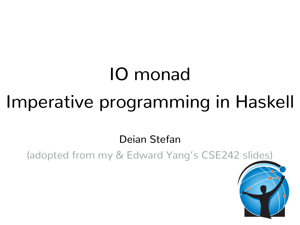# IO monad Imperative programming in Haskell

Deian Stefan

(adopted from my & Edward Yang's CSE242 slides)

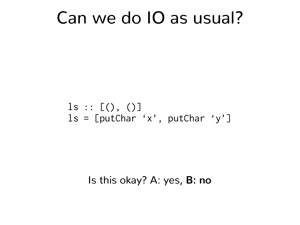### Can we do IO as usual?

#### $ls :: [() , ()]$  $ls = [putChar 'x', putChar 'y']$

#### Is this okay? A: yes, **B: no**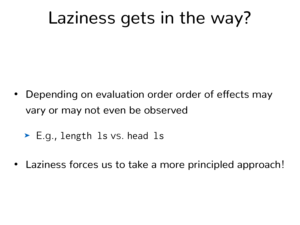# Laziness gets in the way?

- Depending on evaluation order order of effects may vary or may not even be observed
	- ➤ E.g., length ls vs. head ls
- Laziness forces us to take a more principled approach!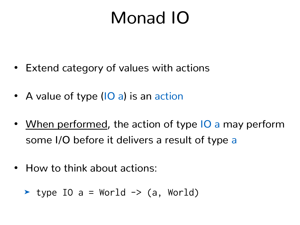# Monad IO

- Extend category of values with actions
- A value of type (IO a) is an action
- When performed, the action of type IO a may perform some I/O before it delivers a result of type a
- How to think about actions:

$$
\blacktriangleright
$$
 type IO a = World  $\rightarrow$  (a, World)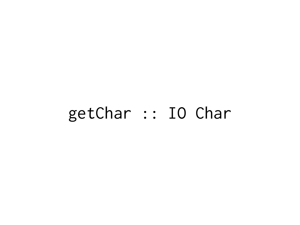### getChar :: IO Char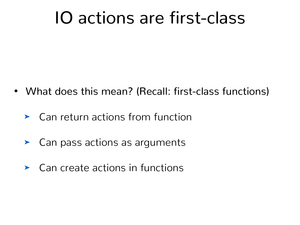# IO actions are first-class

- What does this mean? (Recall: first-class functions)
	- ➤ Can return actions from function
	- ➤ Can pass actions as arguments
	- ➤ Can create actions in functions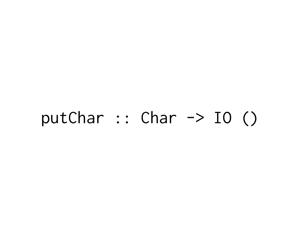#### putChar :: Char  $\rightarrow$  IO ()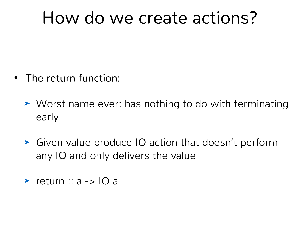# How do we create actions?

- The return function:
	- ➤ Worst name ever: has nothing to do with terminating early
	- ➤ Given value produce IO action that doesn't perform any IO and only delivers the value
	- ➤ return :: a -> IO a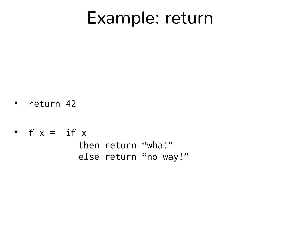### Example: return

- return 42
- $f x = i f x$  then return "what" else return "no way!"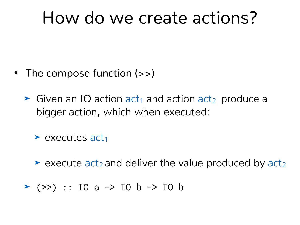# How do we create actions?

- The compose function (>>)
	- $\triangleright$  Given an IO action act<sub>1</sub> and action act<sub>2</sub> produce a bigger action, which when executed:

 $\blacktriangleright$  executes act<sub>1</sub>

- $\triangleright$  execute act<sub>2</sub> and deliver the value produced by act<sub>2</sub>
- ➤ (>>) :: IO a -> IO b -> IO b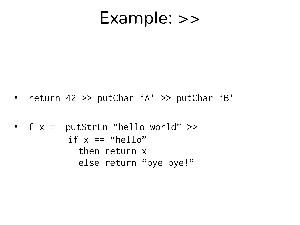#### Example: >>

• return 42 >> putChar 'A' >> putChar 'B'

\n- $$
f x = \text{putStrLn "hello world"} >>
$$
\n- $if x == \text{``hello"} \quad \text{then return } x$
\n- $else \text{ return "bye byte!"}$
\n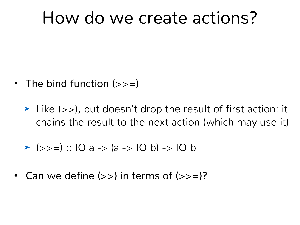# How do we create actions?

- The bind function (>>=)
	- ➤ Like (>>), but doesn't drop the result of first action: it chains the result to the next action (which may use it)

$$
\triangleright \text{ (}\gtgt;=): 10 a \Rightarrow (a \Rightarrow 10 b) \Rightarrow 10 b
$$

• Can we define  $(\gg)$  in terms of  $(\gg=)$ ?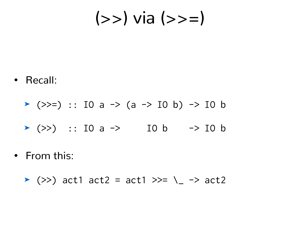$(>>)$  via  $(>>)$ 

• Recall:

$$
\triangleright \text{ (>>=)} :: \text{IO a} \to \text{(a -> IO b)} \to \text{IO b}
$$

- ▶ (>>) :: IO a -> IO b -> IO b
- From this:

$$
\blacktriangleright
$$
 (>>) act1 act2 = act1 >>= \\_ -> act2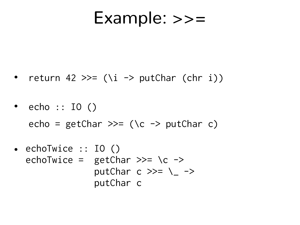#### Example: >>=

- return 42 >>=  $(\iota i \rightarrow putChar (chr i))$
- echo  $::$  IO  $()$ echo =  $getChar \gg=(\c -\nu)$  putChar c)
- echoTwice :: IO () echoTwice = getChar  $\gg$  \c -> putChar  $c \gg = \_$ putChar c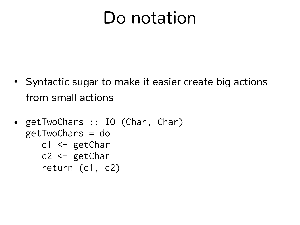# Do notation

- Syntactic sugar to make it easier create big actions from small actions
- getTwoChars :: IO (Char, Char) getTwoChars = do c1 <- getChar c2 <- getChar
	- return (c1, c2)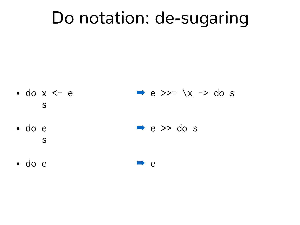## Do notation: de-sugaring

- $\bullet$  do  $x \le -e$  $\rightarrow e \rightarrow = \xrightarrow{x} \infty$ S
- · do e  $\rightarrow e \rightarrow$  do s S
- $\bullet$  do  $e$  $\rightarrow$  e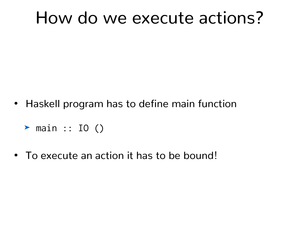# How do we execute actions?

- Haskell program has to define main function
	- ➤ main :: IO ()
- To execute an action it has to be bound!